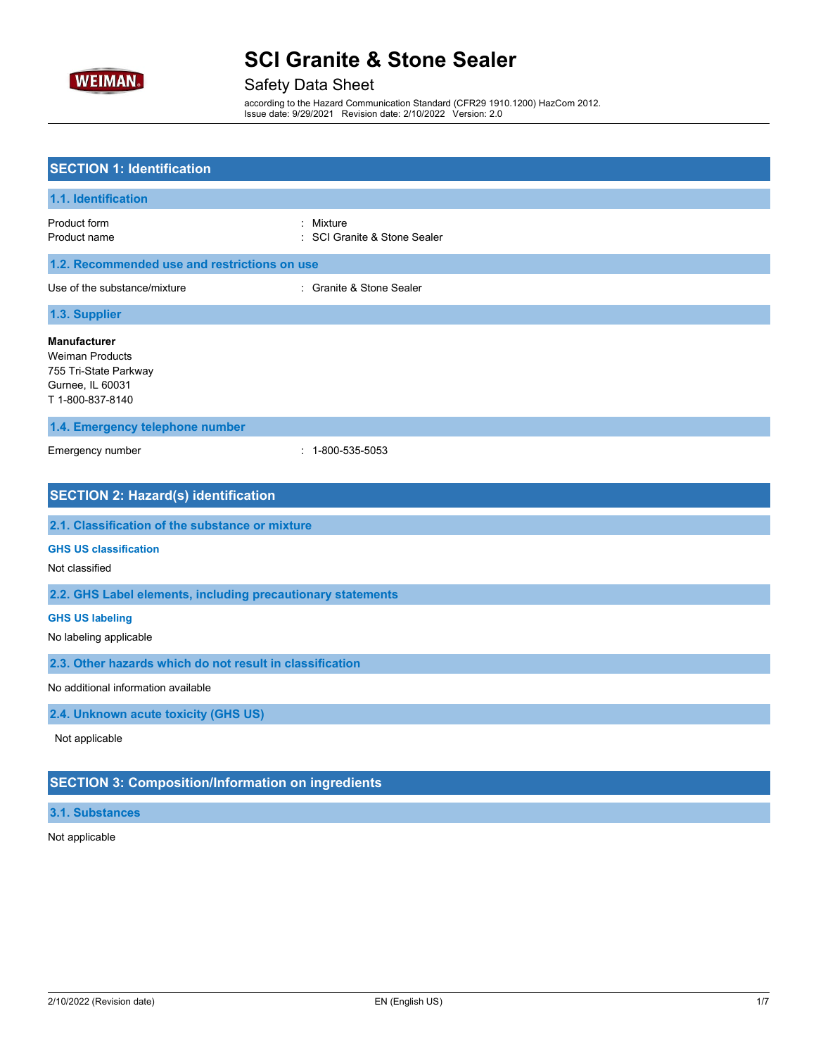

# Safety Data Sheet

according to the Hazard Communication Standard (CFR29 1910.1200) HazCom 2012. Issue date: 9/29/2021 Revision date: 2/10/2022 Version: 2.0

| <b>SECTION 1: Identification</b>                                                                               |                                           |
|----------------------------------------------------------------------------------------------------------------|-------------------------------------------|
| 1.1. Identification                                                                                            |                                           |
| Product form<br>Product name                                                                                   | : Mixture<br>: SCI Granite & Stone Sealer |
| 1.2. Recommended use and restrictions on use                                                                   |                                           |
| Use of the substance/mixture                                                                                   | : Granite & Stone Sealer                  |
| 1.3. Supplier                                                                                                  |                                           |
| <b>Manufacturer</b><br><b>Weiman Products</b><br>755 Tri-State Parkway<br>Gurnee, IL 60031<br>T 1-800-837-8140 |                                           |
| 1.4. Emergency telephone number                                                                                |                                           |
| Emergency number                                                                                               | $: 1 - 800 - 535 - 5053$                  |
| <b>SECTION 2: Hazard(s) identification</b><br>2.1. Classification of the substance or mixture                  |                                           |
| <b>GHS US classification</b><br>Not classified                                                                 |                                           |
| 2.2. GHS Label elements, including precautionary statements                                                    |                                           |
| <b>GHS US labeling</b><br>No labeling applicable                                                               |                                           |
| 2.3. Other hazards which do not result in classification                                                       |                                           |
| No additional information available                                                                            |                                           |
| 2.4. Unknown acute toxicity (GHS US)                                                                           |                                           |
| Not applicable                                                                                                 |                                           |
| <b>SECTION 3: Composition/Information on ingredients</b>                                                       |                                           |
| 3.1. Substances                                                                                                |                                           |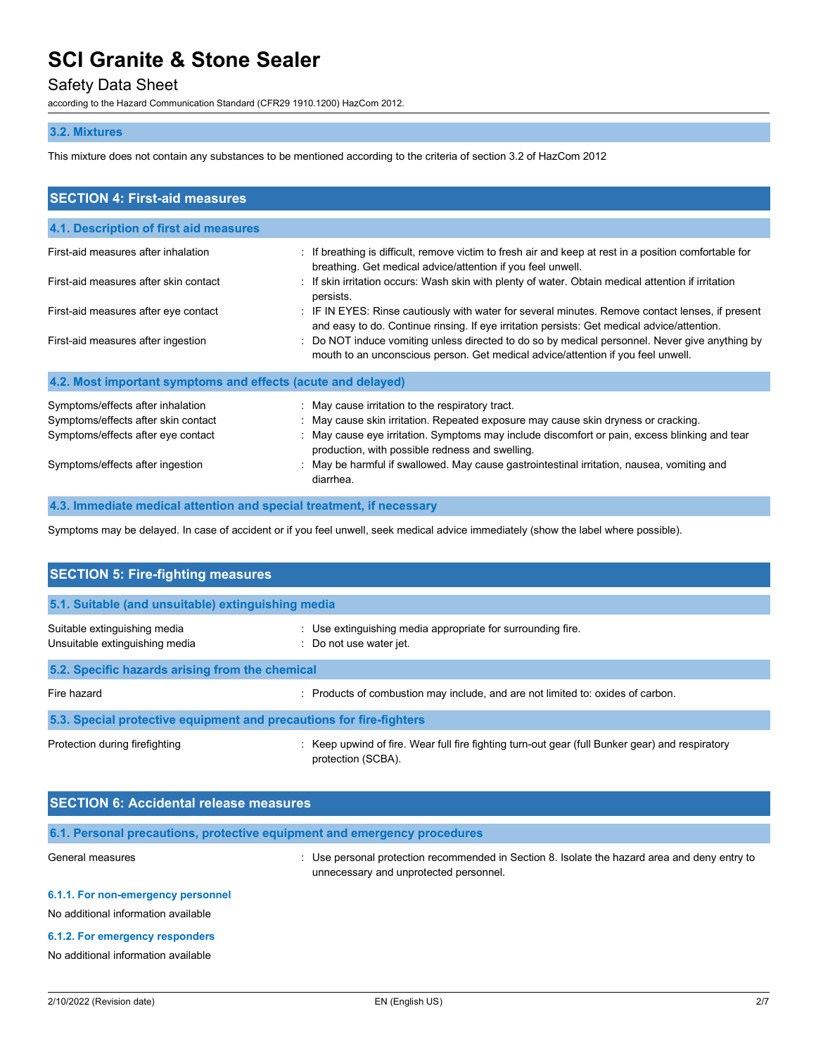## Safety Data Sheet

according to the Hazard Communication Standard (CFR29 1910.1200) HazCom 2012.

### **3.2. Mixtures**

This mixture does not contain any substances to be mentioned according to the criteria of section 3.2 of HazCom 2012

| <b>SECTION 4: First-aid measures</b>                                                                                                               |                                                                                                                                                                                                                                                                                                                                                                                      |
|----------------------------------------------------------------------------------------------------------------------------------------------------|--------------------------------------------------------------------------------------------------------------------------------------------------------------------------------------------------------------------------------------------------------------------------------------------------------------------------------------------------------------------------------------|
| 4.1. Description of first aid measures                                                                                                             |                                                                                                                                                                                                                                                                                                                                                                                      |
| First-aid measures after inhalation                                                                                                                | : If breathing is difficult, remove victim to fresh air and keep at rest in a position comfortable for<br>breathing. Get medical advice/attention if you feel unwell.                                                                                                                                                                                                                |
| First-aid measures after skin contact                                                                                                              | : If skin irritation occurs: Wash skin with plenty of water. Obtain medical attention if irritation<br>persists.                                                                                                                                                                                                                                                                     |
| First-aid measures after eye contact                                                                                                               | : IF IN EYES: Rinse cautiously with water for several minutes. Remove contact lenses, if present<br>and easy to do. Continue rinsing. If eye irritation persists: Get medical advice/attention.                                                                                                                                                                                      |
| First-aid measures after ingestion                                                                                                                 | Do NOT induce vomiting unless directed to do so by medical personnel. Never give anything by<br>mouth to an unconscious person. Get medical advice/attention if you feel unwell.                                                                                                                                                                                                     |
| 4.2. Most important symptoms and effects (acute and delayed)                                                                                       |                                                                                                                                                                                                                                                                                                                                                                                      |
| Symptoms/effects after inhalation<br>Symptoms/effects after skin contact<br>Symptoms/effects after eye contact<br>Symptoms/effects after ingestion | : May cause irritation to the respiratory tract.<br>May cause skin irritation. Repeated exposure may cause skin dryness or cracking.<br>: May cause eye irritation. Symptoms may include discomfort or pain, excess blinking and tear<br>production, with possible redness and swelling.<br>May be harmful if swallowed. May cause gastrointestinal irritation, nausea, vomiting and |
| 4.3. Immediate medical attention and special treatment, if necessary                                                                               | diarrhea.                                                                                                                                                                                                                                                                                                                                                                            |

Symptoms may be delayed. In case of accident or if you feel unwell, seek medical advice immediately (show the label where possible).

| <b>SECTION 5: Fire-fighting measures</b>                            |                                                                                                                       |  |  |
|---------------------------------------------------------------------|-----------------------------------------------------------------------------------------------------------------------|--|--|
| 5.1. Suitable (and unsuitable) extinguishing media                  |                                                                                                                       |  |  |
| Suitable extinguishing media<br>Unsuitable extinguishing media      | : Use extinguishing media appropriate for surrounding fire.<br>: Do not use water jet.                                |  |  |
| 5.2. Specific hazards arising from the chemical                     |                                                                                                                       |  |  |
| Fire hazard                                                         | : Products of combustion may include, and are not limited to: oxides of carbon.                                       |  |  |
| 5.3. Special protective equipment and precautions for fire-fighters |                                                                                                                       |  |  |
| Protection during firefighting                                      | : Keep upwind of fire. Wear full fire fighting turn-out gear (full Bunker gear) and respiratory<br>protection (SCBA). |  |  |

| <b>SECTION 6: Accidental release measures</b>                             |                                                                                                                                       |  |
|---------------------------------------------------------------------------|---------------------------------------------------------------------------------------------------------------------------------------|--|
| 6.1. Personal precautions, protective equipment and emergency procedures  |                                                                                                                                       |  |
| General measures                                                          | Use personal protection recommended in Section 8. Isolate the hazard area and deny entry to<br>unnecessary and unprotected personnel. |  |
| 6.1.1. For non-emergency personnel<br>No additional information available |                                                                                                                                       |  |

#### **6.1.2. For emergency responders**

No additional information available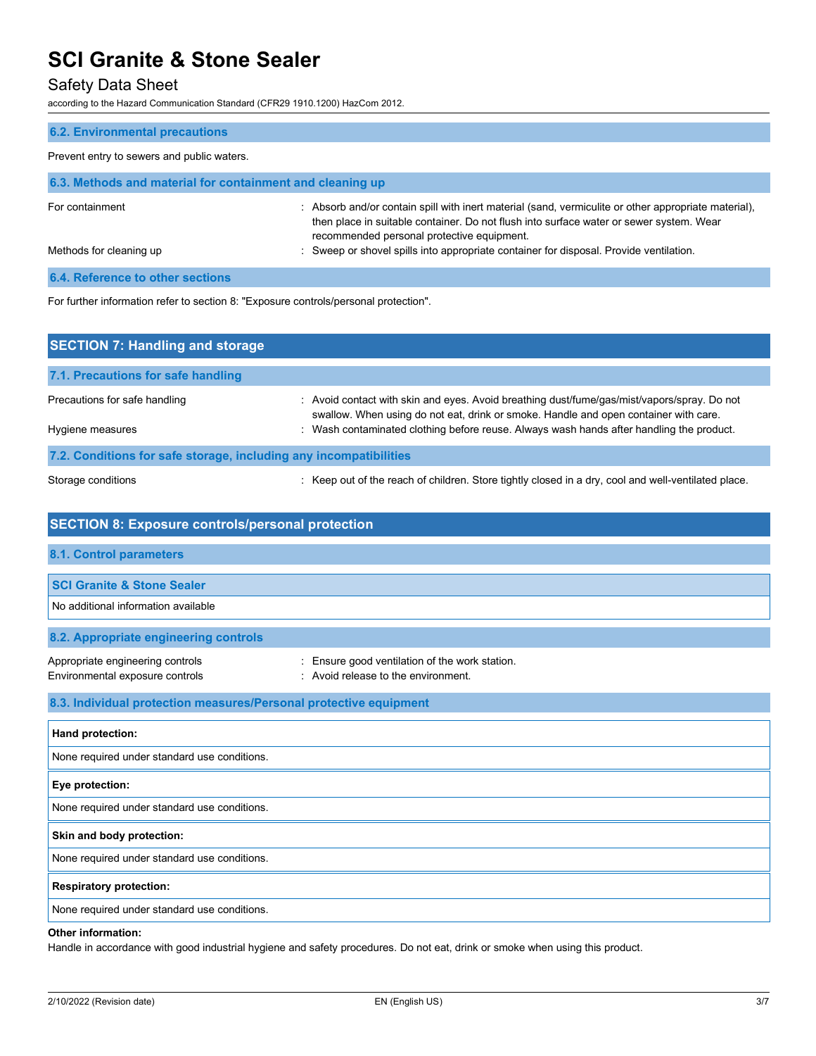### Safety Data Sheet

according to the Hazard Communication Standard (CFR29 1910.1200) HazCom 2012.

| <b>6.2. Environmental precautions</b>                                                |                                                                                                                                                                                                                                               |  |  |
|--------------------------------------------------------------------------------------|-----------------------------------------------------------------------------------------------------------------------------------------------------------------------------------------------------------------------------------------------|--|--|
| Prevent entry to sewers and public waters.                                           |                                                                                                                                                                                                                                               |  |  |
| 6.3. Methods and material for containment and cleaning up                            |                                                                                                                                                                                                                                               |  |  |
| For containment                                                                      | : Absorb and/or contain spill with inert material (sand, vermiculite or other appropriate material),<br>then place in suitable container. Do not flush into surface water or sewer system. Wear<br>recommended personal protective equipment. |  |  |
| Methods for cleaning up                                                              | Sweep or shovel spills into appropriate container for disposal. Provide ventilation.                                                                                                                                                          |  |  |
| <b>6.4. Reference to other sections</b>                                              |                                                                                                                                                                                                                                               |  |  |
| For further information refer to section 8: "Exposure controls/personal protection". |                                                                                                                                                                                                                                               |  |  |
| <b>SECTION 7: Handling and storage</b>                                               |                                                                                                                                                                                                                                               |  |  |
| 7.1. Precautions for safe handling                                                   |                                                                                                                                                                                                                                               |  |  |

| Precautions for safe handling | : Avoid contact with skin and eyes. Avoid breathing dust/fume/gas/mist/vapors/spray. Do not                                                                                      |
|-------------------------------|----------------------------------------------------------------------------------------------------------------------------------------------------------------------------------|
| Hygiene measures              | swallow. When using do not eat, drink or smoke. Handle and open container with care.<br>: Wash contaminated clothing before reuse. Always wash hands after handling the product. |
|                               |                                                                                                                                                                                  |

### **7.2. Conditions for safe storage, including any incompatibilities**

Storage conditions **interpret of the reach of children.** Store tightly closed in a dry, cool and well-ventilated place.

# **SECTION 8: Exposure controls/personal protection 8.1. Control parameters SCI Granite & Stone Sealer** No additional information available **8.2. Appropriate engineering controls** Appropriate engineering controls : Ensure good ventilation of the work station. Environmental exposure controls **Environment**. Avoid release to the environment. **8.3. Individual protection measures/Personal protective equipment Hand protection:** None required under standard use conditions. **Eye protection:**

None required under standard use conditions.

**Skin and body protection:**

None required under standard use conditions.

**Respiratory protection:**

None required under standard use conditions.

#### **Other information:**

Handle in accordance with good industrial hygiene and safety procedures. Do not eat, drink or smoke when using this product.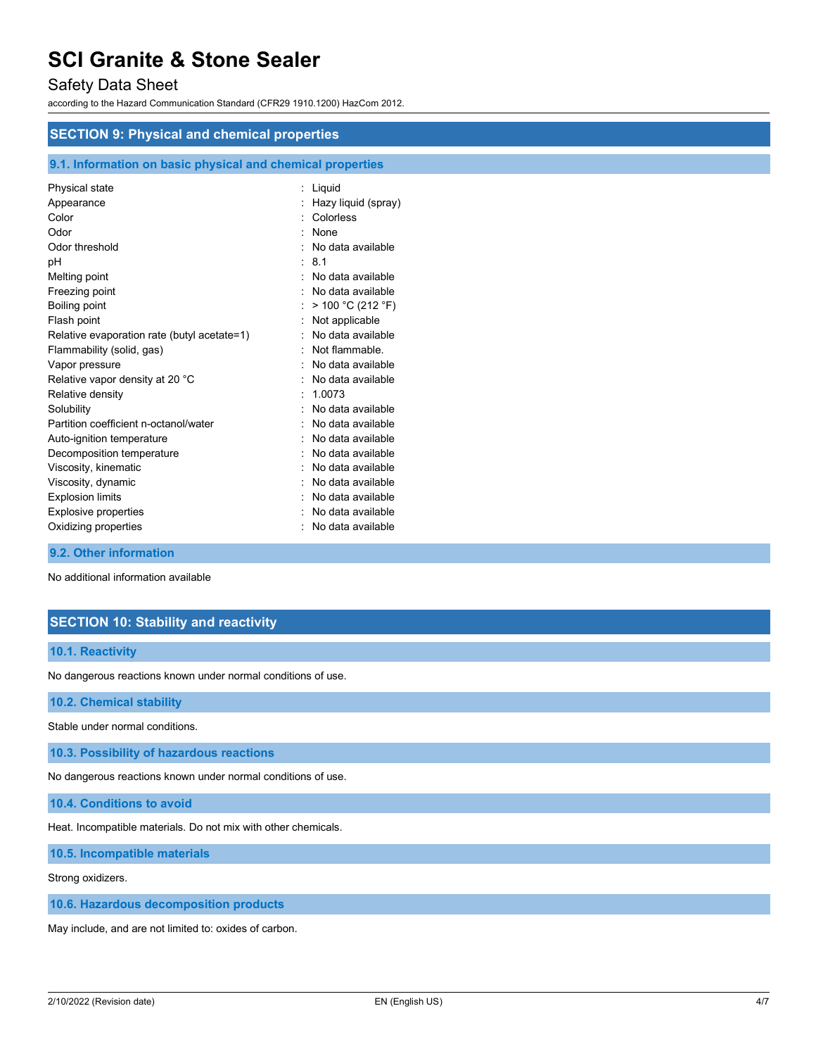### Safety Data Sheet

according to the Hazard Communication Standard (CFR29 1910.1200) HazCom 2012.

#### **SECTION 9: Physical and chemical properties**

### **9.1. Information on basic physical and chemical properties**

| Physical state<br>Appearance                | Liquid<br>Hazy liquid (spray) |
|---------------------------------------------|-------------------------------|
| Color                                       | Colorless                     |
| Odor                                        | None                          |
| Odor threshold                              | No data available             |
| pH                                          | 81                            |
| Melting point                               | No data available             |
| Freezing point                              | No data available             |
| Boiling point                               | > 100 °C (212 °F)             |
| Flash point                                 | Not applicable                |
| Relative evaporation rate (butyl acetate=1) | No data available             |
| Flammability (solid, gas)                   | Not flammable                 |
| Vapor pressure                              | No data available             |
| Relative vapor density at 20 °C             | No data available             |
| Relative density                            | 1.0073                        |
| Solubility                                  | No data available             |
| Partition coefficient n-octanol/water       | No data available             |
| Auto-ignition temperature                   | No data available             |
| Decomposition temperature                   | No data available             |
| Viscosity, kinematic                        | No data available             |
| Viscosity, dynamic                          | No data available             |
| <b>Explosion limits</b>                     | No data available             |
| <b>Explosive properties</b>                 | No data available             |
| Oxidizing properties                        | No data available             |

#### **9.2. Other information**

No additional information available

### **SECTION 10: Stability and reactivity**

#### **10.1. Reactivity**

No dangerous reactions known under normal conditions of use.

**10.2. Chemical stability**

Stable under normal conditions.

**10.3. Possibility of hazardous reactions**

No dangerous reactions known under normal conditions of use.

**10.4. Conditions to avoid**

Heat. Incompatible materials. Do not mix with other chemicals.

**10.5. Incompatible materials**

Strong oxidizers.

**10.6. Hazardous decomposition products**

May include, and are not limited to: oxides of carbon.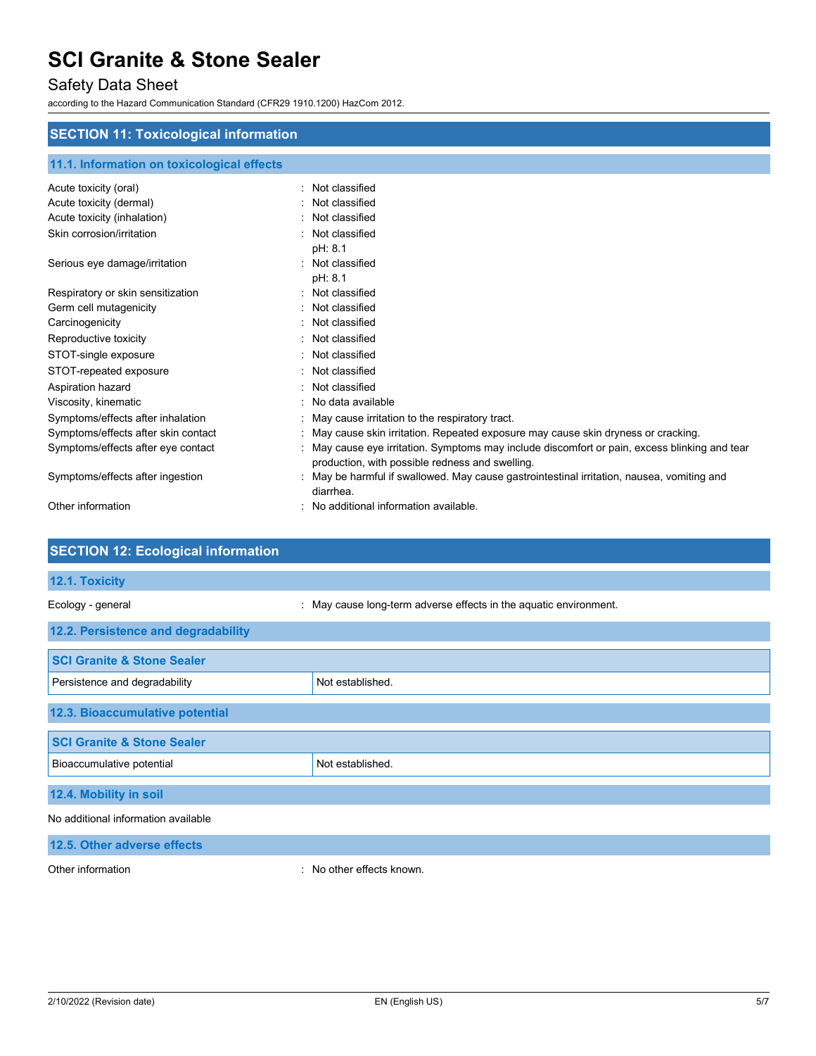# Safety Data Sheet

according to the Hazard Communication Standard (CFR29 1910.1200) HazCom 2012.

### **SECTION 11: Toxicological information**

| 11.1. Information on toxicological effects |                                                                                                                                                |
|--------------------------------------------|------------------------------------------------------------------------------------------------------------------------------------------------|
| Acute toxicity (oral)                      | Not classified                                                                                                                                 |
| Acute toxicity (dermal)                    | Not classified                                                                                                                                 |
| Acute toxicity (inhalation)                | Not classified                                                                                                                                 |
| Skin corrosion/irritation                  | Not classified                                                                                                                                 |
|                                            | pH: 8.1                                                                                                                                        |
| Serious eye damage/irritation              | Not classified                                                                                                                                 |
|                                            | pH: 8.1                                                                                                                                        |
| Respiratory or skin sensitization          | Not classified                                                                                                                                 |
| Germ cell mutagenicity                     | Not classified                                                                                                                                 |
| Carcinogenicity                            | Not classified                                                                                                                                 |
| Reproductive toxicity                      | Not classified                                                                                                                                 |
| STOT-single exposure                       | Not classified                                                                                                                                 |
| STOT-repeated exposure                     | Not classified                                                                                                                                 |
| Aspiration hazard                          | Not classified                                                                                                                                 |
| Viscosity, kinematic                       | No data available                                                                                                                              |
| Symptoms/effects after inhalation          | May cause irritation to the respiratory tract.                                                                                                 |
| Symptoms/effects after skin contact        | May cause skin irritation. Repeated exposure may cause skin dryness or cracking.                                                               |
| Symptoms/effects after eye contact         | May cause eye irritation. Symptoms may include discomfort or pain, excess blinking and tear<br>production, with possible redness and swelling. |
| Symptoms/effects after ingestion           | May be harmful if swallowed. May cause gastrointestinal irritation, nausea, vomiting and<br>diarrhea.                                          |
| Other information                          | No additional information available.                                                                                                           |

| <b>SECTION 12: Ecological information</b> |                                                                   |
|-------------------------------------------|-------------------------------------------------------------------|
| 12.1. Toxicity                            |                                                                   |
| Ecology - general                         | : May cause long-term adverse effects in the aquatic environment. |
| 12.2. Persistence and degradability       |                                                                   |
| <b>SCI Granite &amp; Stone Sealer</b>     |                                                                   |
| Persistence and degradability             | Not established.                                                  |
| 12.3. Bioaccumulative potential           |                                                                   |
| <b>SCI Granite &amp; Stone Sealer</b>     |                                                                   |
| Bioaccumulative potential                 | Not established.                                                  |
| 12.4. Mobility in soil                    |                                                                   |
| No additional information available       |                                                                   |
| 12.5. Other adverse effects               |                                                                   |

Other information **contact of the contact of the contact of the contact of the contact of the contact of the contact of the contact of the contact of the contact of the contact of the contact of the contact of the contact**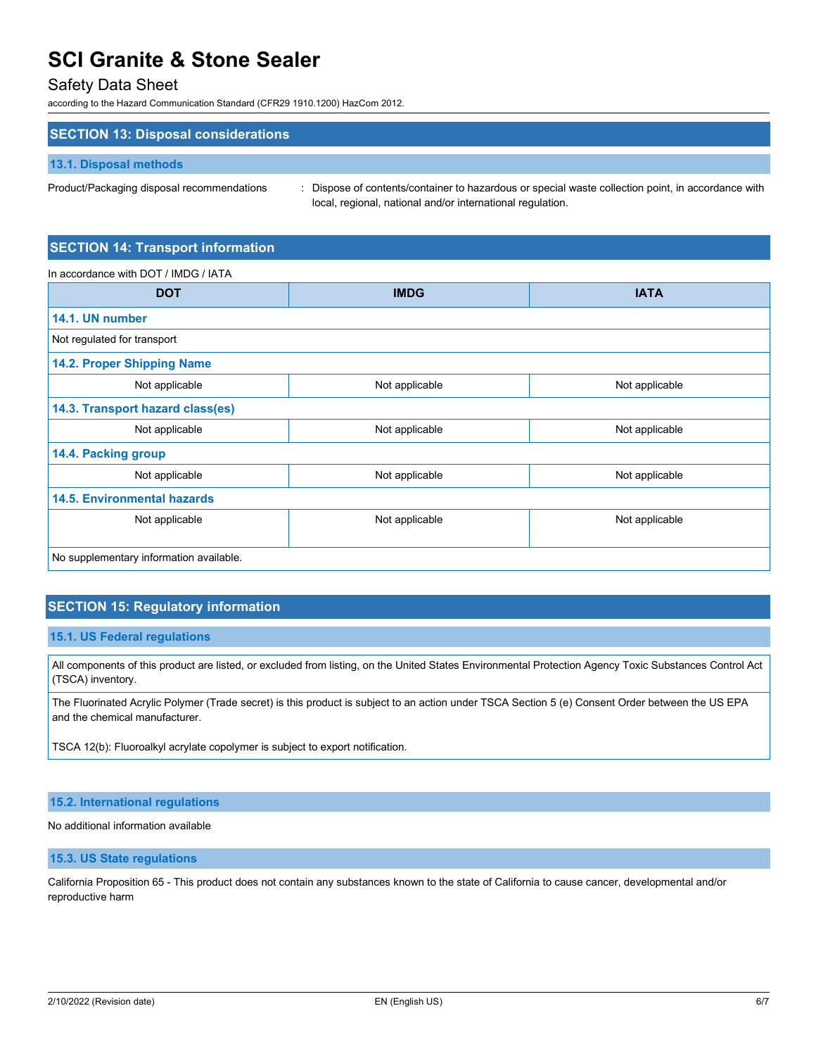### Safety Data Sheet

according to the Hazard Communication Standard (CFR29 1910.1200) HazCom 2012.

### **SECTION 13: Disposal considerations**

#### **13.1. Disposal methods**

Product/Packaging disposal recommendations : Dispose of contents/container to hazardous or special waste collection point, in accordance with local, regional, national and/or international regulation.

### **SECTION 14: Transport information**

In accordance with DOT / IMDG / IATA

| <b>DOT</b>                              | <b>IMDG</b>    | <b>IATA</b>    |
|-----------------------------------------|----------------|----------------|
| 14.1. UN number                         |                |                |
| Not regulated for transport             |                |                |
| 14.2. Proper Shipping Name              |                |                |
| Not applicable                          | Not applicable | Not applicable |
| 14.3. Transport hazard class(es)        |                |                |
| Not applicable                          | Not applicable | Not applicable |
| 14.4. Packing group                     |                |                |
| Not applicable                          | Not applicable | Not applicable |
| <b>14.5. Environmental hazards</b>      |                |                |
| Not applicable                          | Not applicable | Not applicable |
|                                         |                |                |
| No supplementary information available. |                |                |

### **SECTION 15: Regulatory information**

#### **15.1. US Federal regulations**

All components of this product are listed, or excluded from listing, on the United States Environmental Protection Agency Toxic Substances Control Act (TSCA) inventory.

The Fluorinated Acrylic Polymer (Trade secret) is this product is subject to an action under TSCA Section 5 (e) Consent Order between the US EPA and the chemical manufacturer.

TSCA 12(b): Fluoroalkyl acrylate copolymer is subject to export notification.

#### **15.2. International regulations**

No additional information available

### **15.3. US State regulations**

California Proposition 65 - This product does not contain any substances known to the state of California to cause cancer, developmental and/or reproductive harm